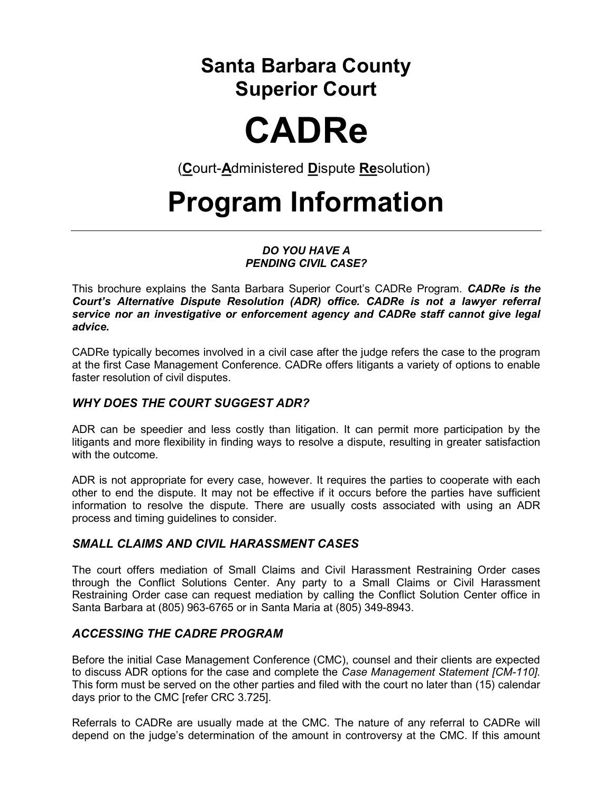### Santa Barbara County Superior Court

# CADRe

(Court-Administered Dispute Resolution)

## Program Information

#### DO YOU HAVE A PENDING CIVIL CASE?

This brochure explains the Santa Barbara Superior Court's CADRe Program. CADRe is the Court's Alternative Dispute Resolution (ADR) office. CADRe is not a lawyer referral service nor an investigative or enforcement agency and CADRe staff cannot give legal advice.

CADRe typically becomes involved in a civil case after the judge refers the case to the program at the first Case Management Conference. CADRe offers litigants a variety of options to enable faster resolution of civil disputes.

#### WHY DOES THE COURT SUGGEST ADR?

ADR can be speedier and less costly than litigation. It can permit more participation by the litigants and more flexibility in finding ways to resolve a dispute, resulting in greater satisfaction with the outcome.

ADR is not appropriate for every case, however. It requires the parties to cooperate with each other to end the dispute. It may not be effective if it occurs before the parties have sufficient information to resolve the dispute. There are usually costs associated with using an ADR process and timing guidelines to consider.

#### SMALL CLAIMS AND CIVIL HARASSMENT CASES

The court offers mediation of Small Claims and Civil Harassment Restraining Order cases through the Conflict Solutions Center. Any party to a Small Claims or Civil Harassment Restraining Order case can request mediation by calling the Conflict Solution Center office in Santa Barbara at (805) 963-6765 or in Santa Maria at (805) 349-8943.

#### ACCESSING THE CADRE PROGRAM

Before the initial Case Management Conference (CMC), counsel and their clients are expected to discuss ADR options for the case and complete the Case Management Statement [CM-110]. This form must be served on the other parties and filed with the court no later than (15) calendar days prior to the CMC [refer CRC 3.725].

Referrals to CADRe are usually made at the CMC. The nature of any referral to CADRe will depend on the judge's determination of the amount in controversy at the CMC. If this amount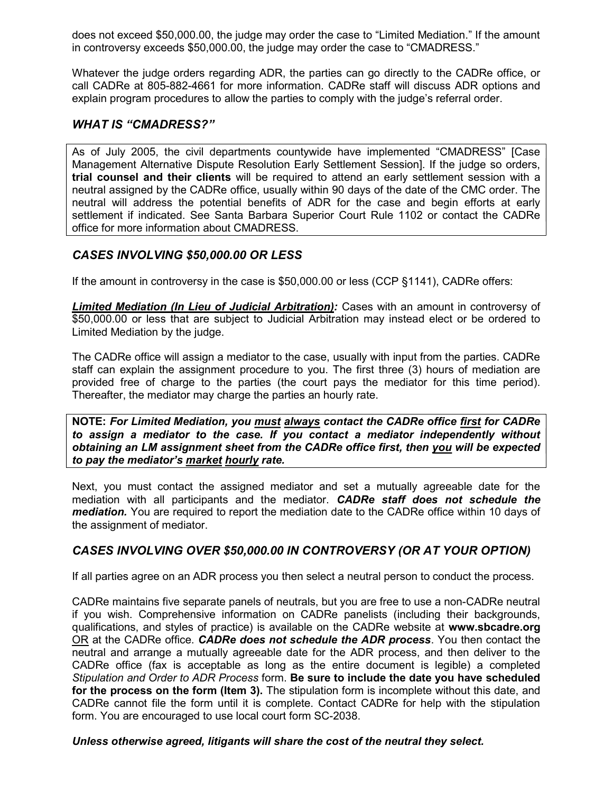does not exceed \$50,000.00, the judge may order the case to "Limited Mediation." If the amount in controversy exceeds \$50,000.00, the judge may order the case to "CMADRESS."

Whatever the judge orders regarding ADR, the parties can go directly to the CADRe office, or call CADRe at 805-882-4661 for more information. CADRe staff will discuss ADR options and explain program procedures to allow the parties to comply with the judge's referral order.

#### WHAT IS "CMADRESS?"

As of July 2005, the civil departments countywide have implemented "CMADRESS" [Case Management Alternative Dispute Resolution Early Settlement Session]. If the judge so orders, trial counsel and their clients will be required to attend an early settlement session with a neutral assigned by the CADRe office, usually within 90 days of the date of the CMC order. The neutral will address the potential benefits of ADR for the case and begin efforts at early settlement if indicated. See Santa Barbara Superior Court Rule 1102 or contact the CADRe office for more information about CMADRESS.

#### CASES INVOLVING \$50,000.00 OR LESS

If the amount in controversy in the case is \$50,000.00 or less (CCP §1141), CADRe offers:

Limited Mediation (In Lieu of Judicial Arbitration): Cases with an amount in controversy of \$50,000.00 or less that are subject to Judicial Arbitration may instead elect or be ordered to Limited Mediation by the judge.

The CADRe office will assign a mediator to the case, usually with input from the parties. CADRe staff can explain the assignment procedure to you. The first three (3) hours of mediation are provided free of charge to the parties (the court pays the mediator for this time period). Thereafter, the mediator may charge the parties an hourly rate.

NOTE: For Limited Mediation, you must always contact the CADRe office first for CADRe to assign a mediator to the case. If you contact a mediator independently without obtaining an LM assignment sheet from the CADRe office first, then you will be expected to pay the mediator's market hourly rate.

Next, you must contact the assigned mediator and set a mutually agreeable date for the mediation with all participants and the mediator. **CADRe staff does not schedule the** mediation. You are required to report the mediation date to the CADRe office within 10 days of the assignment of mediator.

#### CASES INVOLVING OVER \$50,000.00 IN CONTROVERSY (OR AT YOUR OPTION)

If all parties agree on an ADR process you then select a neutral person to conduct the process.

CADRe maintains five separate panels of neutrals, but you are free to use a non-CADRe neutral if you wish. Comprehensive information on CADRe panelists (including their backgrounds, qualifications, and styles of practice) is available on the CADRe website at www.sbcadre.org OR at the CADRe office. CADRe does not schedule the ADR process. You then contact the neutral and arrange a mutually agreeable date for the ADR process, and then deliver to the CADRe office (fax is acceptable as long as the entire document is legible) a completed Stipulation and Order to ADR Process form. Be sure to include the date you have scheduled for the process on the form (Item 3). The stipulation form is incomplete without this date, and CADRe cannot file the form until it is complete. Contact CADRe for help with the stipulation form. You are encouraged to use local court form SC-2038.

#### Unless otherwise agreed, litigants will share the cost of the neutral they select.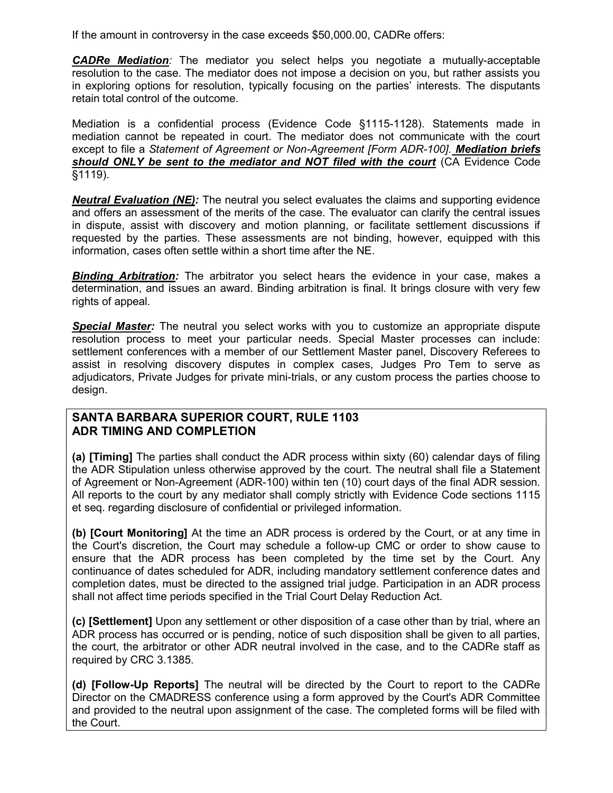If the amount in controversy in the case exceeds \$50,000.00, CADRe offers:

CADRe Mediation: The mediator you select helps you negotiate a mutually-acceptable resolution to the case. The mediator does not impose a decision on you, but rather assists you in exploring options for resolution, typically focusing on the parties' interests. The disputants retain total control of the outcome.

Mediation is a confidential process (Evidence Code §1115-1128). Statements made in mediation cannot be repeated in court. The mediator does not communicate with the court except to file a Statement of Agreement or Non-Agreement [Form ADR-100]. Mediation briefs should ONLY be sent to the mediator and NOT filed with the court (CA Evidence Code §1119).

**Neutral Evaluation (NE):** The neutral you select evaluates the claims and supporting evidence and offers an assessment of the merits of the case. The evaluator can clarify the central issues in dispute, assist with discovery and motion planning, or facilitate settlement discussions if requested by the parties. These assessments are not binding, however, equipped with this information, cases often settle within a short time after the NE.

**Binding Arbitration:** The arbitrator you select hears the evidence in your case, makes a determination, and issues an award. Binding arbitration is final. It brings closure with very few rights of appeal.

**Special Master:** The neutral you select works with you to customize an appropriate dispute resolution process to meet your particular needs. Special Master processes can include: settlement conferences with a member of our Settlement Master panel, Discovery Referees to assist in resolving discovery disputes in complex cases, Judges Pro Tem to serve as adjudicators, Private Judges for private mini-trials, or any custom process the parties choose to design.

#### SANTA BARBARA SUPERIOR COURT, RULE 1103 ADR TIMING AND COMPLETION

(a) [Timing] The parties shall conduct the ADR process within sixty (60) calendar days of filing the ADR Stipulation unless otherwise approved by the court. The neutral shall file a Statement of Agreement or Non-Agreement (ADR-100) within ten (10) court days of the final ADR session. All reports to the court by any mediator shall comply strictly with Evidence Code sections 1115 et seq. regarding disclosure of confidential or privileged information.

(b) [Court Monitoring] At the time an ADR process is ordered by the Court, or at any time in the Court's discretion, the Court may schedule a follow-up CMC or order to show cause to ensure that the ADR process has been completed by the time set by the Court. Any continuance of dates scheduled for ADR, including mandatory settlement conference dates and completion dates, must be directed to the assigned trial judge. Participation in an ADR process shall not affect time periods specified in the Trial Court Delay Reduction Act.

(c) [Settlement] Upon any settlement or other disposition of a case other than by trial, where an ADR process has occurred or is pending, notice of such disposition shall be given to all parties, the court, the arbitrator or other ADR neutral involved in the case, and to the CADRe staff as required by CRC 3.1385.

(d) [Follow-Up Reports] The neutral will be directed by the Court to report to the CADRe Director on the CMADRESS conference using a form approved by the Court's ADR Committee and provided to the neutral upon assignment of the case. The completed forms will be filed with the Court.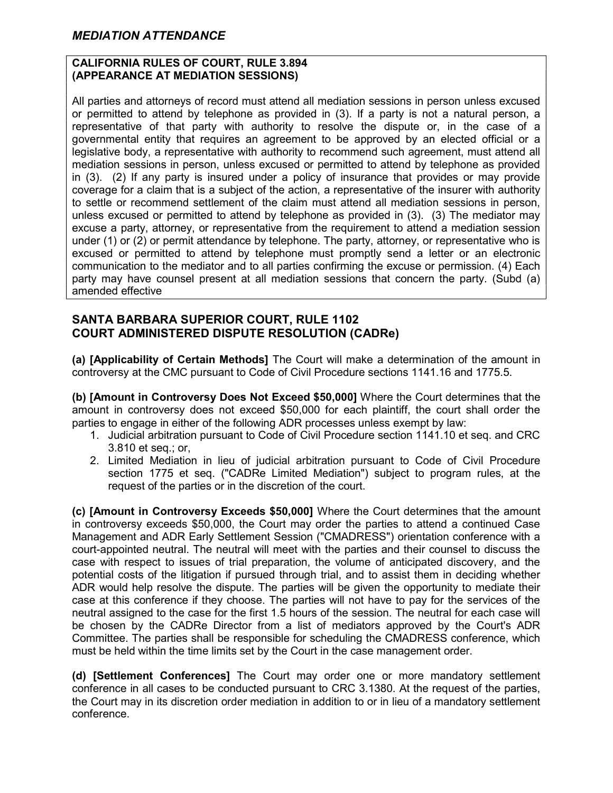#### CALIFORNIA RULES OF COURT, RULE 3.894 (APPEARANCE AT MEDIATION SESSIONS)

All parties and attorneys of record must attend all mediation sessions in person unless excused or permitted to attend by telephone as provided in (3). If a party is not a natural person, a representative of that party with authority to resolve the dispute or, in the case of a governmental entity that requires an agreement to be approved by an elected official or a legislative body, a representative with authority to recommend such agreement, must attend all mediation sessions in person, unless excused or permitted to attend by telephone as provided in (3). (2) If any party is insured under a policy of insurance that provides or may provide coverage for a claim that is a subject of the action, a representative of the insurer with authority to settle or recommend settlement of the claim must attend all mediation sessions in person, unless excused or permitted to attend by telephone as provided in (3). (3) The mediator may excuse a party, attorney, or representative from the requirement to attend a mediation session under (1) or (2) or permit attendance by telephone. The party, attorney, or representative who is excused or permitted to attend by telephone must promptly send a letter or an electronic communication to the mediator and to all parties confirming the excuse or permission. (4) Each party may have counsel present at all mediation sessions that concern the party. (Subd (a) amended effective

#### SANTA BARBARA SUPERIOR COURT, RULE 1102 COURT ADMINISTERED DISPUTE RESOLUTION (CADRe)

(a) [Applicability of Certain Methods] The Court will make a determination of the amount in controversy at the CMC pursuant to Code of Civil Procedure sections 1141.16 and 1775.5.

(b) [Amount in Controversy Does Not Exceed \$50,000] Where the Court determines that the amount in controversy does not exceed \$50,000 for each plaintiff, the court shall order the parties to engage in either of the following ADR processes unless exempt by law:

- 1. Judicial arbitration pursuant to Code of Civil Procedure section 1141.10 et seq. and CRC 3.810 et seq.; or,
- 2. Limited Mediation in lieu of judicial arbitration pursuant to Code of Civil Procedure section 1775 et seq. ("CADRe Limited Mediation") subject to program rules, at the request of the parties or in the discretion of the court.

(c) [Amount in Controversy Exceeds \$50,000] Where the Court determines that the amount in controversy exceeds \$50,000, the Court may order the parties to attend a continued Case Management and ADR Early Settlement Session ("CMADRESS") orientation conference with a court-appointed neutral. The neutral will meet with the parties and their counsel to discuss the case with respect to issues of trial preparation, the volume of anticipated discovery, and the potential costs of the litigation if pursued through trial, and to assist them in deciding whether ADR would help resolve the dispute. The parties will be given the opportunity to mediate their case at this conference if they choose. The parties will not have to pay for the services of the neutral assigned to the case for the first 1.5 hours of the session. The neutral for each case will be chosen by the CADRe Director from a list of mediators approved by the Court's ADR Committee. The parties shall be responsible for scheduling the CMADRESS conference, which must be held within the time limits set by the Court in the case management order.

(d) [Settlement Conferences] The Court may order one or more mandatory settlement conference in all cases to be conducted pursuant to CRC 3.1380. At the request of the parties, the Court may in its discretion order mediation in addition to or in lieu of a mandatory settlement conference.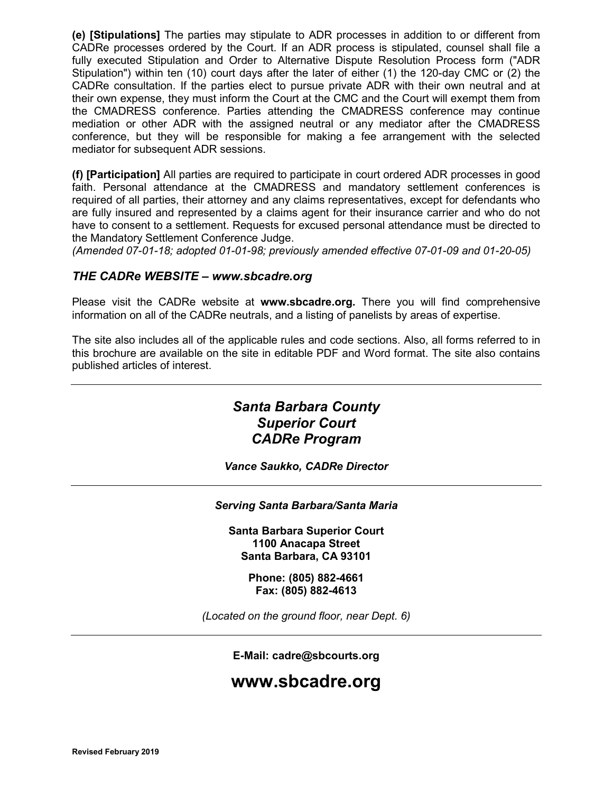(e) [Stipulations] The parties may stipulate to ADR processes in addition to or different from CADRe processes ordered by the Court. If an ADR process is stipulated, counsel shall file a fully executed Stipulation and Order to Alternative Dispute Resolution Process form ("ADR Stipulation") within ten (10) court days after the later of either (1) the 120-day CMC or (2) the CADRe consultation. If the parties elect to pursue private ADR with their own neutral and at their own expense, they must inform the Court at the CMC and the Court will exempt them from the CMADRESS conference. Parties attending the CMADRESS conference may continue mediation or other ADR with the assigned neutral or any mediator after the CMADRESS conference, but they will be responsible for making a fee arrangement with the selected mediator for subsequent ADR sessions.

(f) [Participation] All parties are required to participate in court ordered ADR processes in good faith. Personal attendance at the CMADRESS and mandatory settlement conferences is required of all parties, their attorney and any claims representatives, except for defendants who are fully insured and represented by a claims agent for their insurance carrier and who do not have to consent to a settlement. Requests for excused personal attendance must be directed to the Mandatory Settlement Conference Judge.

(Amended 07-01-18; adopted 01-01-98; previously amended effective 07-01-09 and 01-20-05)

#### THE CADRe WEBSITE – www.sbcadre.org

Please visit the CADRe website at www.sbcadre.org. There you will find comprehensive information on all of the CADRe neutrals, and a listing of panelists by areas of expertise.

The site also includes all of the applicable rules and code sections. Also, all forms referred to in this brochure are available on the site in editable PDF and Word format. The site also contains published articles of interest.

#### Santa Barbara County Superior Court CADRe Program

Vance Saukko, CADRe Director

#### Serving Santa Barbara/Santa Maria

Santa Barbara Superior Court 1100 Anacapa Street Santa Barbara, CA 93101

> Phone: (805) 882-4661 Fax: (805) 882-4613

(Located on the ground floor, near Dept. 6)

E-Mail: cadre@sbcourts.org

#### www.sbcadre.org